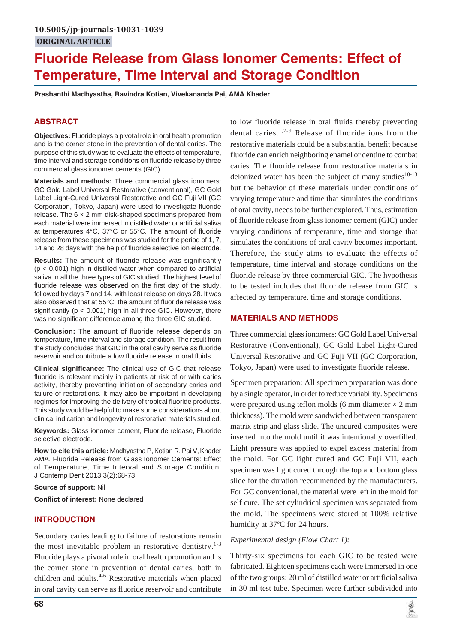# **Fluoride Release from Glass Ionomer Cements: Effect of Temperature, Time Interval and Storage Condition**

**Prashanthi Madhyastha, Ravindra Kotian, Vivekananda Pai, AMA Khader**

# **ABSTRACT**

**Objectives:** Fluoride plays a pivotal role in oral health promotion and is the corner stone in the prevention of dental caries. The purpose of this study was to evaluate the effects of temperature, time interval and storage conditions on fluoride release by three commercial glass ionomer cements (GIC).

**Materials and methods:** Three commercial glass ionomers: GC Gold Label Universal Restorative (conventional), GC Gold Label Light-Cured Universal Restorative and GC Fuji VII (GC Corporation, Tokyo, Japan) were used to investigate fluoride release. The  $6 \times 2$  mm disk-shaped specimens prepared from each material were immersed in distilled water or artificial saliva at temperatures 4°C, 37°C or 55°C. The amount of fluoride release from these specimens was studied for the period of 1, 7, 14 and 28 days with the help of fluoride selective ion electrode.

**Results:** The amount of fluoride release was significantly  $(p < 0.001)$  high in distilled water when compared to artificial saliva in all the three types of GIC studied. The highest level of fluoride release was observed on the first day of the study, followed by days 7 and 14, with least release on days 28. It was also observed that at 55°C, the amount of fluoride release was significantly ( $p < 0.001$ ) high in all three GIC. However, there was no significant difference among the three GIC studied.

**Conclusion:** The amount of fluoride release depends on temperature, time interval and storage condition. The result from the study concludes that GIC in the oral cavity serve as fluoride reservoir and contribute a low fluoride release in oral fluids.

**Clinical significance:** The clinical use of GIC that release fluoride is relevant mainly in patients at risk of or with caries activity, thereby preventing initiation of secondary caries and failure of restorations. It may also be important in developing regimes for improving the delivery of tropical fluoride products. This study would be helpful to make some considerations about clinical indication and longevity of restorative materials studied.

**Keywords:** Glass ionomer cement, Fluoride release, Fluoride selective electrode.

**How to cite this article:** Madhyastha P, Kotian R, Pai V, Khader AMA. Fluoride Release from Glass Ionomer Cements: Effect of Temperature, Time Interval and Storage Condition. J Contemp Dent 2013;3(2):68-73.

#### **Source of support:** Nil

**Conflict of interest:** None declared

## **INTRODUCTION**

Secondary caries leading to failure of restorations remain the most inevitable problem in restorative dentistry. $1-3$ Fluoride plays a pivotal role in oral health promotion and is the corner stone in prevention of dental caries, both in children and adults. $4-6$  Restorative materials when placed in oral cavity can serve as fluoride reservoir and contribute

to low fluoride release in oral fluids thereby preventing dental caries.<sup>1,7-9</sup> Release of fluoride ions from the restorative materials could be a substantial benefit because fluoride can enrich neighboring enamel or dentine to combat caries. The fluoride release from restorative materials in deionized water has been the subject of many studies $10-13$ but the behavior of these materials under conditions of varying temperature and time that simulates the conditions of oral cavity, needs to be further explored. Thus, estimation of fluoride release from glass ionomer cement (GIC) under varying conditions of temperature, time and storage that simulates the conditions of oral cavity becomes important. Therefore, the study aims to evaluate the effects of temperature, time interval and storage conditions on the fluoride release by three commercial GIC. The hypothesis to be tested includes that fluoride release from GIC is affected by temperature, time and storage conditions.

## **MATERIALS AND METHODS**

Three commercial glass ionomers: GC Gold Label Universal Restorative (Conventional), GC Gold Label Light-Cured Universal Restorative and GC Fuji VII (GC Corporation, Tokyo, Japan) were used to investigate fluoride release.

Specimen preparation: All specimen preparation was done by a single operator, in order to reduce variability. Specimens were prepared using teflon molds (6 mm diameter  $\times$  2 mm thickness). The mold were sandwiched between transparent matrix strip and glass slide. The uncured composites were inserted into the mold until it was intentionally overfilled. Light pressure was applied to expel excess material from the mold. For GC light cured and GC Fuji VII, each specimen was light cured through the top and bottom glass slide for the duration recommended by the manufacturers. For GC conventional, the material were left in the mold for self cure. The set cylindrical specimen was separated from the mold. The specimens were stored at 100% relative humidity at 37ºC for 24 hours.

## *Experimental design (Flow Chart 1):*

Thirty-six specimens for each GIC to be tested were fabricated. Eighteen specimens each were immersed in one of the two groups: 20 ml of distilled water or artificial saliva in 30 ml test tube. Specimen were further subdivided into

道理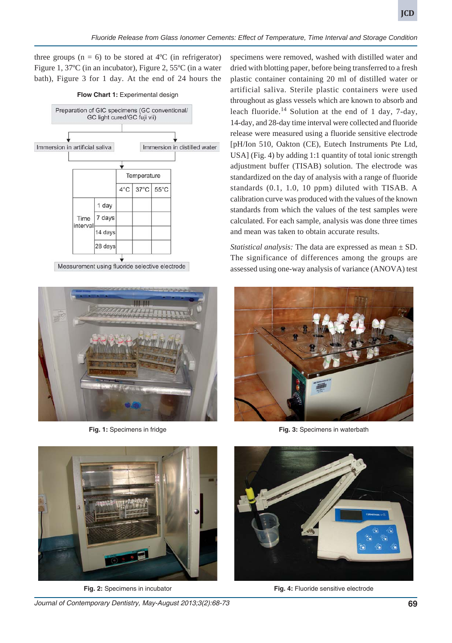three groups  $(n = 6)$  to be stored at  $4^{\circ}C$  (in refrigerator) Figure 1, 37ºC (in an incubator), Figure 2, 55ºC (in a water bath), Figure 3 for 1 day. At the end of 24 hours the



Measurement using fluoride selective electrode



**Fig. 1:** Specimens in fridge

specimens were removed, washed with distilled water and dried with blotting paper, before being transferred to a fresh plastic container containing 20 ml of distilled water or artificial saliva. Sterile plastic containers were used throughout as glass vessels which are known to absorb and leach fluoride.<sup>14</sup> Solution at the end of 1 day, 7-day, 14-day, and 28-day time interval were collected and fluoride release were measured using a fluoride sensitive electrode [pH/Ion 510, Oakton (CE), Eutech Instruments Pte Ltd, USA] (Fig. 4) by adding 1:1 quantity of total ionic strength adjustment buffer (TISAB) solution. The electrode was standardized on the day of analysis with a range of fluoride standards (0.1, 1.0, 10 ppm) diluted with TISAB. A calibration curve was produced with the values of the known standards from which the values of the test samples were calculated. For each sample, analysis was done three times and mean was taken to obtain accurate results.

*Statistical analysis:* The data are expressed as mean  $\pm$  SD. The significance of differences among the groups are assessed using one-way analysis of variance (ANOVA) test



**Fig. 3:** Specimens in waterbath



**Fig. 2:** Specimens in incubator

*Journal of Contemporary Dentistry, May-August 2013;3(2):68-73* **69**



**Fig. 4:** Fluoride sensitive electrode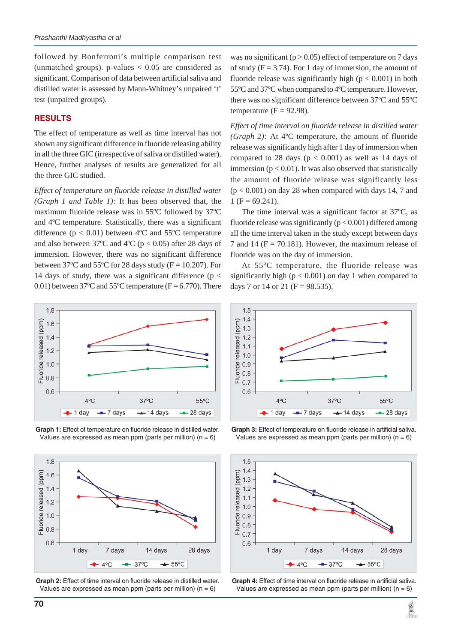followed by Bonferroni's multiple comparison test (unmatched groups). p-values  $< 0.05$  are considered as significant. Comparison of data between artificial saliva and distilled water is assessed by Mann-Whitney's unpaired 't' test (unpaired groups).

#### **RESULTS**

The effect of temperature as well as time interval has not shown any significant difference in fluoride releasing ability in all the three GIC (irrespective of saliva or distilled water). Hence, further analyses of results are generalized for all the three GIC studied.

*Effect of temperature on fluoride release in distilled water (Graph 1 and Table 1):* It has been observed that, the maximum fluoride release was in 55ºC followed by 37ºC and 4ºC temperature. Statistically, there was a significant difference ( $p < 0.01$ ) between 4°C and 55°C temperature and also between 37°C and 4°C ( $p < 0.05$ ) after 28 days of immersion. However, there was no significant difference between 37 $\degree$ C and 55 $\degree$ C for 28 days study (F = 10.207). For 14 days of study, there was a significant difference ( $p <$ 0.01) between 37°C and 55°C temperature ( $F = 6.770$ ). There









was no significant ( $p > 0.05$ ) effect of temperature on 7 days of study ( $F = 3.74$ ). For 1 day of immersion, the amount of fluoride release was significantly high ( $p < 0.001$ ) in both 55ºC and 37ºC when compared to 4ºC temperature. However, there was no significant difference between 37ºC and 55ºC temperature ( $F = 92.98$ ).

*Effect of time interval on fluoride release in distilled water (Graph 2):* At 4ºC temperature, the amount of fluoride release was significantly high after 1 day of immersion when compared to 28 days ( $p < 0.001$ ) as well as 14 days of immersion ( $p < 0.01$ ). It was also observed that statistically the amount of fluoride release was significantly less  $(p < 0.001)$  on day 28 when compared with days 14, 7 and  $1 (F = 69.241).$ 

The time interval was a significant factor at 37ºC, as fluoride release was significantly  $(p < 0.001)$  differed among all the time interval taken in the study except between days 7 and 14 ( $F = 70.181$ ). However, the maximum release of fluoride was on the day of immersion.

At 55ºC temperature, the fluoride release was significantly high ( $p < 0.001$ ) on day 1 when compared to days 7 or 14 or 21 ( $F = 98.535$ ).



**Graph 3:** Effect of temperature on fluoride release in artificial saliva. Values are expressed as mean ppm (parts per million)  $(n = 6)$ 





黨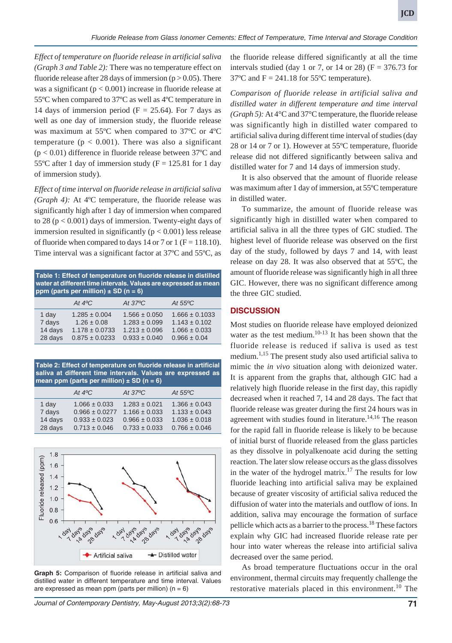*Effect of temperature on fluoride release in artificial saliva (Graph 3 and Table 2):* There was no temperature effect on fluoride release after 28 days of immersion ( $p > 0.05$ ). There was a significant ( $p < 0.001$ ) increase in fluoride release at 55ºC when compared to 37ºC as well as 4ºC temperature in 14 days of immersion period ( $F = 25.64$ ). For 7 days as well as one day of immersion study, the fluoride release was maximum at 55ºC when compared to 37ºC or 4ºC temperature ( $p < 0.001$ ). There was also a significant  $(p < 0.01)$  difference in fluoride release between 37°C and 55°C after 1 day of immersion study ( $F = 125.81$  for 1 day of immersion study).

*Effect of time interval on fluoride release in artificial saliva (Graph 4):* At 4ºC temperature, the fluoride release was significantly high after 1 day of immersion when compared to 28 ( $p < 0.001$ ) days of immersion. Twenty-eight days of immersion resulted in significantly  $(p < 0.001)$  less release of fluoride when compared to days 14 or 7 or 1 ( $F = 118.10$ ). Time interval was a significant factor at 37ºC and 55ºC, as

| Table 1: Effect of temperature on fluoride release in distilled<br>water at different time intervals. Values are expressed as mean<br>ppm (parts per million) $\pm$ SD (n = 6) |                                                                                  |                                                                                  |                                                                                  |  |
|--------------------------------------------------------------------------------------------------------------------------------------------------------------------------------|----------------------------------------------------------------------------------|----------------------------------------------------------------------------------|----------------------------------------------------------------------------------|--|
|                                                                                                                                                                                | At $4^{\circ}C$                                                                  | At $37^{\circ}C$                                                                 | At $55^{\circ}$ C                                                                |  |
| 1 day<br>7 days<br>14 days<br>28 days                                                                                                                                          | $1.285 \pm 0.004$<br>$1.26 \pm 0.08$<br>$1.178 \pm 0.0733$<br>$0.875 \pm 0.0233$ | $1.566 \pm 0.050$<br>$1.283 \pm 0.099$<br>$1.213 \pm 0.096$<br>$0.933 \pm 0.040$ | $1.666 \pm 0.1033$<br>$1.143 \pm 0.102$<br>$1.066 \pm 0.033$<br>$0.966 \pm 0.04$ |  |

**Table 2: Effect of temperature on fluoride release in artificial saliva at different time intervals. Values are expressed as mean ppm (parts per million) ± SD (n = 6)**

|         | At $4^{\circ}C$    | At $37^{\circ}C$  | At $55^{\circ}$ C |
|---------|--------------------|-------------------|-------------------|
| 1 day   | $1.066 \pm 0.033$  | $1.283 \pm 0.021$ | $1.366 \pm 0.043$ |
| 7 days  | $0.966 \pm 0.0277$ | $1.166 \pm 0.033$ | $1.133 \pm 0.043$ |
| 14 days | $0.933 \pm 0.023$  | $0.966 \pm 0.033$ | $1.036 \pm 0.018$ |
| 28 days | $0.713 \pm 0.046$  | $0.733 \pm 0.033$ | $0.766 \pm 0.046$ |



**Graph 5:** Comparison of fluoride release in artificial saliva and distilled water in different temperature and time interval. Values are expressed as mean ppm (parts per million)  $(n = 6)$ 

*Journal of Contemporary Dentistry, May-August 2013;3(2):68-73* **71**

the fluoride release differed significantly at all the time intervals studied (day 1 or 7, or 14 or 28) ( $F = 376.73$  for  $37^{\circ}$ C and F = 241.18 for 55 $^{\circ}$ C temperature).

*Comparison of fluoride release in artificial saliva and distilled water in different temperature and time interval (Graph 5):* At 4°C and 37°C temperature, the fluoride release was significantly high in distilled water compared to artificial saliva during different time interval of studies (day 28 or 14 or 7 or 1). However at 55ºC temperature, fluoride release did not differed significantly between saliva and distilled water for 7 and 14 days of immersion study.

It is also observed that the amount of fluoride release was maximum after 1 day of immersion, at 55ºC temperature in distilled water.

To summarize, the amount of fluoride release was significantly high in distilled water when compared to artificial saliva in all the three types of GIC studied. The highest level of fluoride release was observed on the first day of the study, followed by days 7 and 14, with least release on day 28. It was also observed that at 55ºC, the amount of fluoride release was significantly high in all three GIC. However, there was no significant difference among the three GIC studied.

#### **DISCUSSION**

Most studies on fluoride release have employed deionized water as the test medium. $10-13$  It has been shown that the fluoride release is reduced if saliva is used as test medium.<sup>1,15</sup> The present study also used artificial saliva to mimic the *in vivo* situation along with deionized water. It is apparent from the graphs that, although GIC had a relatively high fluoride release in the first day, this rapidly decreased when it reached 7, 14 and 28 days. The fact that fluoride release was greater during the first 24 hours was in agreement with studies found in literature.<sup>14,16</sup> The reason for the rapid fall in fluoride release is likely to be because of initial burst of fluoride released from the glass particles as they dissolve in polyalkenoate acid during the setting reaction. The later slow release occurs as the glass dissolves in the water of the hydrogel matrix.<sup>17</sup> The results for low fluoride leaching into artificial saliva may be explained because of greater viscosity of artificial saliva reduced the diffusion of water into the materials and outflow of ions. In addition, saliva may encourage the formation of surface pellicle which acts as a barrier to the process.<sup>18</sup> These factors explain why GIC had increased fluoride release rate per hour into water whereas the release into artificial saliva decreased over the same period.

As broad temperature fluctuations occur in the oral environment, thermal circuits may frequently challenge the restorative materials placed in this environment.<sup>10</sup> The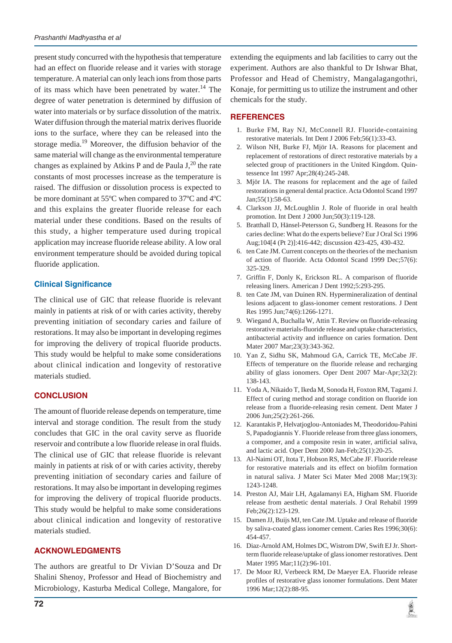present study concurred with the hypothesis that temperature had an effect on fluoride release and it varies with storage temperature. A material can only leach ions from those parts of its mass which have been penetrated by water.<sup>14</sup> The degree of water penetration is determined by diffusion of water into materials or by surface dissolution of the matrix. Water diffusion through the material matrix derives fluoride ions to the surface, where they can be released into the storage media.<sup>19</sup> Moreover, the diffusion behavior of the same material will change as the environmental temperature changes as explained by Atkins P and de Paula  $J<sub>1</sub><sup>20</sup>$  the rate constants of most processes increase as the temperature is raised. The diffusion or dissolution process is expected to be more dominant at 55ºC when compared to 37ºC and 4ºC and this explains the greater fluoride release for each material under these conditions. Based on the results of this study, a higher temperature used during tropical application may increase fluoride release ability. A low oral environment temperature should be avoided during topical fluoride application.

## **Clinical Significance**

The clinical use of GIC that release fluoride is relevant mainly in patients at risk of or with caries activity, thereby preventing initiation of secondary caries and failure of restorations. It may also be important in developing regimes for improving the delivery of tropical fluoride products. This study would be helpful to make some considerations about clinical indication and longevity of restorative materials studied.

## **CONCLUSION**

The amount of fluoride release depends on temperature, time interval and storage condition. The result from the study concludes that GIC in the oral cavity serve as fluoride reservoir and contribute a low fluoride release in oral fluids. The clinical use of GIC that release fluoride is relevant mainly in patients at risk of or with caries activity, thereby preventing initiation of secondary caries and failure of restorations. It may also be important in developing regimes for improving the delivery of tropical fluoride products. This study would be helpful to make some considerations about clinical indication and longevity of restorative materials studied.

## **ACKNOWLEDGMENTS**

The authors are greatful to Dr Vivian D'Souza and Dr Shalini Shenoy, Professor and Head of Biochemistry and Microbiology, Kasturba Medical College, Mangalore, for extending the equipments and lab facilities to carry out the experiment. Authors are also thankful to Dr Ishwar Bhat, Professor and Head of Chemistry, Mangalagangothri, Konaje, for permitting us to utilize the instrument and other chemicals for the study.

## **REFERENCES**

- 1. Burke FM, Ray NJ, McConnell RJ. Fluoride-containing restorative materials. Int Dent J 2006 Feb;56(1):33-43.
- 2. Wilson NH, Burke FJ, Mjör IA. Reasons for placement and replacement of restorations of direct restorative materials by a selected group of practitioners in the United Kingdom. Quintessence Int 1997 Apr;28(4):245-248.
- 3. Mjör IA. The reasons for replacement and the age of failed restorations in general dental practice. Acta Odontol Scand 1997 Jan;55(1):58-63.
- 4. Clarkson JJ, McLoughlin J. Role of fluoride in oral health promotion. Int Dent J 2000 Jun;50(3):119-128.
- 5. Bratthall D, Hänsel-Petersson G, Sundberg H. Reasons for the caries decline: What do the experts believe? Eur J Oral Sci 1996 Aug;104[4 (Pt 2)]:416-442; discussion 423-425, 430-432.
- 6. ten Cate JM. Current concepts on the theories of the mechanism of action of fluoride. Acta Odontol Scand 1999 Dec;57(6): 325-329.
- 7. Griffin F, Donly K, Erickson RL. A comparison of fluoride releasing liners. American J Dent 1992;5:293-295.
- 8. ten Cate JM, van Duinen RN. Hypermineralization of dentinal lesions adjacent to glass-ionomer cement restorations. J Dent Res 1995 Jun;74(6):1266-1271.
- 9. Wiegand A, Buchalla W, Attin T. Review on fluoride-releasing restorative materials-fluoride release and uptake characteristics, antibacterial activity and influence on caries formation. Dent Mater 2007 Mar;23(3):343-362.
- 10. Yan Z, Sidhu SK, Mahmoud GA, Carrick TE, McCabe JF. Effects of temperature on the fluoride release and recharging ability of glass ionomers. Oper Dent 2007 Mar-Apr;32(2): 138-143.
- 11. Yoda A, Nikaido T, Ikeda M, Sonoda H, Foxton RM, Tagami J. Effect of curing method and storage condition on fluoride ion release from a fluoride-releasing resin cement. Dent Mater J 2006 Jun;25(2):261-266.
- 12. Karantakis P, Helvatjoglou-Antoniades M, Theodoridou-Pahini S, Papadogiannis Y. Fluoride release from three glass ionomers, a compomer, and a composite resin in water, artificial saliva, and lactic acid. Oper Dent 2000 Jan-Feb;25(1):20-25.
- 13. Al-Naimi OT, Itota T, Hobson RS, McCabe JF. Fluoride release for restorative materials and its effect on biofilm formation in natural saliva. J Mater Sci Mater Med 2008 Mar;19(3): 1243-1248.
- 14. Preston AJ, Mair LH, Agalamanyi EA, Higham SM. Fluoride release from aesthetic dental materials. J Oral Rehabil 1999 Feb;26(2):123-129.
- 15. Damen JJ, Buijs MJ, ten Cate JM. Uptake and release of fluoride by saliva-coated glass ionomer cement. Caries Res 1996;30(6): 454-457.
- 16. Diaz-Arnold AM, Holmes DC, Wistrom DW, Swift EJ Jr. Shortterm fluoride release/uptake of glass ionomer restoratives. Dent Mater 1995 Mar;11(2):96-101.
- 17. De Moor RJ, Verbeeck RM, De Maeyer EA. Fluoride release profiles of restorative glass ionomer formulations. Dent Mater 1996 Mar;12(2):88-95.